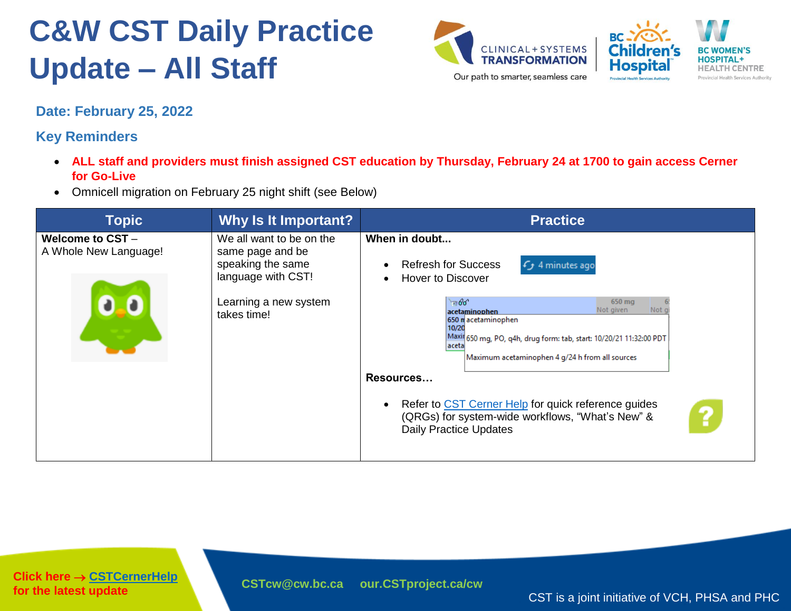



**Date: February 25, 2022**

**Key Reminders**

- **ALL staff and providers must finish assigned CST education by Thursday, February 24 at 1700 to gain access Cerner for Go-Live**
- Omnicell migration on February 25 night shift (see Below)

| <b>Topic</b>                             | Why Is It Important?                                                                                                            | <b>Practice</b>                                                                                                                                                                                                                  |
|------------------------------------------|---------------------------------------------------------------------------------------------------------------------------------|----------------------------------------------------------------------------------------------------------------------------------------------------------------------------------------------------------------------------------|
| Welcome to CST-<br>A Whole New Language! | We all want to be on the<br>same page and be<br>speaking the same<br>language with CST!<br>Learning a new system<br>takes time! | When in doubt<br><b>Refresh for Success</b><br>$f$ 4 minutes ago<br>$\bullet$<br>Hover to Discover<br>$\bullet$                                                                                                                  |
|                                          |                                                                                                                                 | $= 60^\circ$<br>650 mg<br>Not c<br>Not given<br>acetaminophen<br>650 macetaminophen<br>10/20<br>Maxil 650 mg, PO, q4h, drug form: tab, start: 10/20/21 11:32:00 PDT<br>laceta<br>Maximum acetaminophen 4 g/24 h from all sources |
|                                          |                                                                                                                                 | Resources                                                                                                                                                                                                                        |
|                                          |                                                                                                                                 | Refer to CST Cerner Help for quick reference guides<br>$\bullet$<br>?<br>(QRGs) for system-wide workflows, "What's New" &<br><b>Daily Practice Updates</b>                                                                       |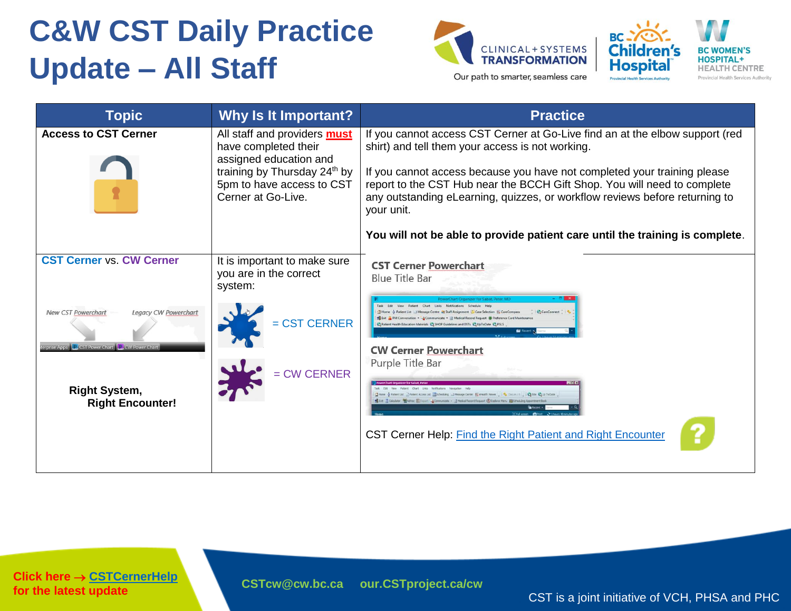



| <b>Topic</b>                                                                                                                                                                                                | <b>Why Is It Important?</b>                                                                                                                                              | <b>Practice</b>                                                                                                                                                                                                                                                                                                                                                                                                                                                                                                                                                                                                                                                  |
|-------------------------------------------------------------------------------------------------------------------------------------------------------------------------------------------------------------|--------------------------------------------------------------------------------------------------------------------------------------------------------------------------|------------------------------------------------------------------------------------------------------------------------------------------------------------------------------------------------------------------------------------------------------------------------------------------------------------------------------------------------------------------------------------------------------------------------------------------------------------------------------------------------------------------------------------------------------------------------------------------------------------------------------------------------------------------|
| <b>Access to CST Cerner</b>                                                                                                                                                                                 | All staff and providers <b>must</b><br>have completed their<br>assigned education and<br>training by Thursday 24th by<br>5pm to have access to CST<br>Cerner at Go-Live. | If you cannot access CST Cerner at Go-Live find an at the elbow support (red<br>shirt) and tell them your access is not working.<br>If you cannot access because you have not completed your training please<br>report to the CST Hub near the BCCH Gift Shop. You will need to complete<br>any outstanding eLearning, quizzes, or workflow reviews before returning to<br>your unit.<br>You will not be able to provide patient care until the training is complete.                                                                                                                                                                                            |
| <b>CST Cerner vs. CW Cerner</b><br>Legacy CW Powerchart<br><b>New CST Powerchart</b><br>terprise Apps <b>C.</b> CST Power Chart <b>P.</b> CW Power Chart<br><b>Right System,</b><br><b>Right Encounter!</b> | It is important to make sure<br>you are in the correct<br>system:<br><b>CST CERNER</b><br>= CW CERNER                                                                    | <b>CST Cerner Powerchart</b><br><b>Blue Title Bar</b><br>age Centre 53 Staff Assignment Case Selection 1. CareCompass<br>CareConnect<br>-& Communicate . a) Medical Record Request @ Preference Card Maintena<br>ent Health Education Materials 2 SHOP Guidelines and DSTs 2 UpToDate 2 PSLS<br><b>CW Cerner Powerchart</b><br>Purple Title Bar<br>tent List a Patient Access List in Scheduling LLIMessage Center Newton Messer   16 Docum.   0   26 GM & Up To Date<br>BENt il Calculator Mi Ad-loc Il Cream - A Communicate + al Medical Record Request (R) Explorer Menu in Scheduling<br>CST Cerner Help: <b>Find the Right Patient and Right Encounter</b> |

**Click here → [CSTCernerHelp](http://cstcernerhelp.healthcarebc.ca/#t%3DWhats_New%2FWhat_s_New.htm=&t=CST_Cerner_Help.htm) for the latest update**

**[CSTcw@cw.bc.ca](mailto:CSTcw@cw.bc.ca) [our.CSTproject.ca/cw](https://transformationcentral.vch.ca/cw)**

CST is a joint initiative of VCH, PHSA and PHC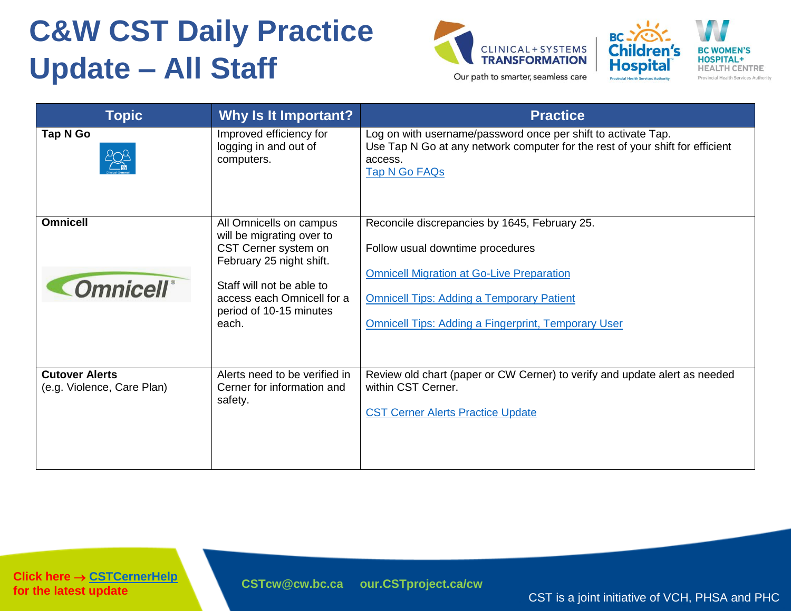



**Topic 6 Why Is It Important? Practice Practice Tap N Go Improved efficiency for** Log on with username/password once per shift to activate Tap. Use Tap N Go at any network computer for the rest of your shift for efficient logging in and out of computers. access. [Tap N Go FAQs](http://policyandorders.cw.bc.ca/resource-gallery/Documents/Website%20Administration/CW%20CST%20-%20Tap%20N%20Go%20FAQ.pdf) **Omnicell Omnicell Commission All Omnicells on campus** Reconcile discrepancies by 1645, February 25. will be migrating over to CST Cerner system on Follow usual downtime procedures February 25 night shift. [Omnicell Migration at Go-Live Preparation](http://policyandorders.cw.bc.ca/resource-gallery/Documents/CST/Omnicell%20Migration%20Go%20Live%20CST%20Practice%20Pointer.pdf) **Omnicell**<sup>®</sup> Staff will not be able to access each Omnicell for a [Omnicell Tips: Adding a Temporary Patient](http://policyandorders.cw.bc.ca/resource-gallery/Documents/CST/Omnicell_How%20to%20Add%20a%20Temporary%20Patient%20%28Pharmacy%20Instructions%20for%20Omnicell%20Migration%29.pdf) period of 10-15 minutes [Omnicell Tips: Adding a Fingerprint, Temporary User](http://policyandorders.cw.bc.ca/resource-gallery/Documents/CST/Omnicell%20Tip%20Sheet_Granting%20Access%20Add%20Fingerprint%20Add%20Temp%20Nurse.pdf) each. Alerts need to be verified in Review old chart (paper or CW Cerner) to verify and update alert as needed **Cutover Alerts**  within CST Cerner. (e.g. Violence, Care Plan) Cerner for information and safety. [CST Cerner Alerts Practice Update](http://policyandorders.cw.bc.ca/resource-gallery/Documents/CST/Cerner%20Alerts%20CW%20CST%20Practice%20Update.pdf)